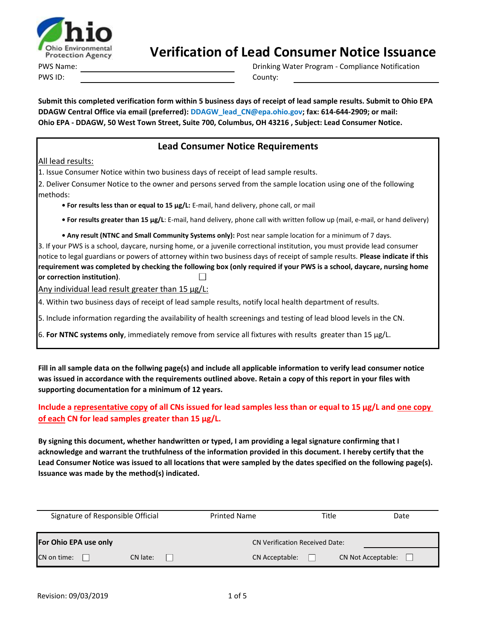

PWS Name: PWS ID: County:

Drinking Water Program - Compliance Notification

**Submit this completed verification form within 5 business days of receipt of lead sample results. Submit to Ohio EPA DDAGW Central Office via email (preferred): DDAGW\_lead\_CN@epa.ohio.gov; fax: 614-644-2909; or mail: Ohio EPA - DDAGW, 50 West Town Street, Suite 700, Columbus, OH 43216 , Subject: Lead Consumer Notice.**

### **Lead Consumer Notice Requirements**

All lead results:

1. Issue Consumer Notice within two business days of receipt of lead sample results.

2. Deliver Consumer Notice to the owner and persons served from the sample location using one of the following methods:

**• For results less than or equal to 15 µg/L:** E-mail, hand delivery, phone call, or mail

**• For results greater than 15 µg/L**: E-mail, hand delivery, phone call with written follow up (mail, e-mail, or hand delivery)

**• Any result (NTNC and Small Community Systems only):** Post near sample location for a minimum of 7 days.

3. If your PWS is a school, daycare, nursing home, or a juvenile correctional institution, you must provide lead consumer notice to legal guardians or powers of attorney within two business days of receipt of sample results. **Please indicate if this requirement was completed by checking the following box (only required if your PWS is a school, daycare, nursing home or correction institution)**.

Any individual lead result greater than 15 µg/L:

4. Within two business days of receipt of lead sample results, notify local health department of results.

5. Include information regarding the availability of health screenings and testing of lead blood levels in the CN.

6. **For NTNC systems only**, immediately remove from service all fixtures with results greater than 15 µg/L.

**Fill in all sample data on the follwing page(s) and include all applicable information to verify lead consumer notice was issued in accordance with the requirements outlined above. Retain a copy of this report in your files with supporting documentation for a minimum of 12 years.**

#### **Include a representative copy of all CNs issued for lead samples less than or equal to 15 µg/L and one copy of each CN for lead samples greater than 15 µg/L.**

**By signing this document, whether handwritten or typed, I am providing a legal signature confirming that I acknowledge and warrant the truthfulness of the information provided in this document. I hereby certify that the Lead Consumer Notice was issued to all locations that were sampled by the dates specified on the following page(s). Issuance was made by the method(s) indicated.**

| Signature of Responsible Official | <b>Printed Name</b> |                                       | Title          | Date |                           |  |
|-----------------------------------|---------------------|---------------------------------------|----------------|------|---------------------------|--|
| For Ohio EPA use only             |                     | <b>CN Verification Received Date:</b> |                |      |                           |  |
| CN on time:                       | CN late:            |                                       | CN Acceptable: |      | <b>CN Not Acceptable:</b> |  |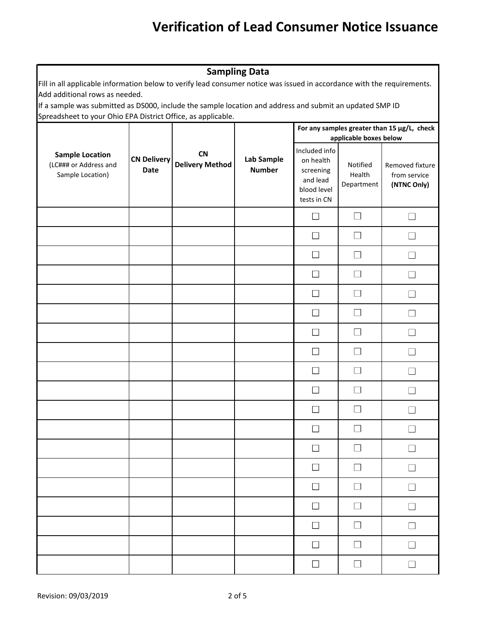| <b>Sampling Data</b>                                                                                                                                      |                                   |                                     |                             |                                                                                   |                                  |                                                |  |
|-----------------------------------------------------------------------------------------------------------------------------------------------------------|-----------------------------------|-------------------------------------|-----------------------------|-----------------------------------------------------------------------------------|----------------------------------|------------------------------------------------|--|
| Fill in all applicable information below to verify lead consumer notice was issued in accordance with the requirements.<br>Add additional rows as needed. |                                   |                                     |                             |                                                                                   |                                  |                                                |  |
| If a sample was submitted as DS000, include the sample location and address and submit an updated SMP ID                                                  |                                   |                                     |                             |                                                                                   |                                  |                                                |  |
| Spreadsheet to your Ohio EPA District Office, as applicable.<br>For any samples greater than 15 µg/L, check                                               |                                   |                                     |                             |                                                                                   |                                  |                                                |  |
|                                                                                                                                                           |                                   |                                     |                             | applicable boxes below                                                            |                                  |                                                |  |
| <b>Sample Location</b><br>(LC### or Address and<br>Sample Location)                                                                                       | <b>CN Delivery</b><br><b>Date</b> | <b>CN</b><br><b>Delivery Method</b> | Lab Sample<br><b>Number</b> | Included info<br>on health<br>screening<br>and lead<br>blood level<br>tests in CN | Notified<br>Health<br>Department | Removed fixture<br>from service<br>(NTNC Only) |  |
|                                                                                                                                                           |                                   |                                     |                             | $\Box$                                                                            | П                                | $\overline{\phantom{a}}$                       |  |
|                                                                                                                                                           |                                   |                                     |                             | $\mathbf{L}$                                                                      |                                  |                                                |  |
|                                                                                                                                                           |                                   |                                     |                             | П                                                                                 |                                  | $\mathbf{I}$                                   |  |
|                                                                                                                                                           |                                   |                                     |                             | $\perp$                                                                           |                                  |                                                |  |
|                                                                                                                                                           |                                   |                                     |                             |                                                                                   |                                  |                                                |  |
|                                                                                                                                                           |                                   |                                     |                             | $\mathbf{L}$                                                                      |                                  |                                                |  |
|                                                                                                                                                           |                                   |                                     |                             | $\vert \ \ \vert$                                                                 |                                  |                                                |  |
|                                                                                                                                                           |                                   |                                     |                             | $\Box$                                                                            |                                  |                                                |  |
|                                                                                                                                                           |                                   |                                     |                             | $\Box$                                                                            | $\overline{\phantom{0}}$         |                                                |  |
|                                                                                                                                                           |                                   |                                     |                             | $\Box$                                                                            |                                  |                                                |  |
|                                                                                                                                                           |                                   |                                     |                             | L                                                                                 |                                  |                                                |  |
|                                                                                                                                                           |                                   |                                     |                             | $\Box$                                                                            | $\mathsf{L}$                     | $\Box$                                         |  |
|                                                                                                                                                           |                                   |                                     |                             | $\Box$                                                                            | $\Box$                           | $\Box$                                         |  |
|                                                                                                                                                           |                                   |                                     |                             | $\Box$                                                                            | ⊔                                | П                                              |  |
|                                                                                                                                                           |                                   |                                     |                             | $\Box$                                                                            | $\Box$                           | $\mathsf{L}$                                   |  |
|                                                                                                                                                           |                                   |                                     |                             | $\Box$                                                                            | ⊔                                | $\Box$                                         |  |
|                                                                                                                                                           |                                   |                                     |                             | $\Box$                                                                            | $\Box$                           | П                                              |  |
|                                                                                                                                                           |                                   |                                     |                             | $\Box$                                                                            | $\Box$                           | $\Box$                                         |  |
|                                                                                                                                                           |                                   |                                     |                             | $\Box$                                                                            | $\Box$                           | $\Box$                                         |  |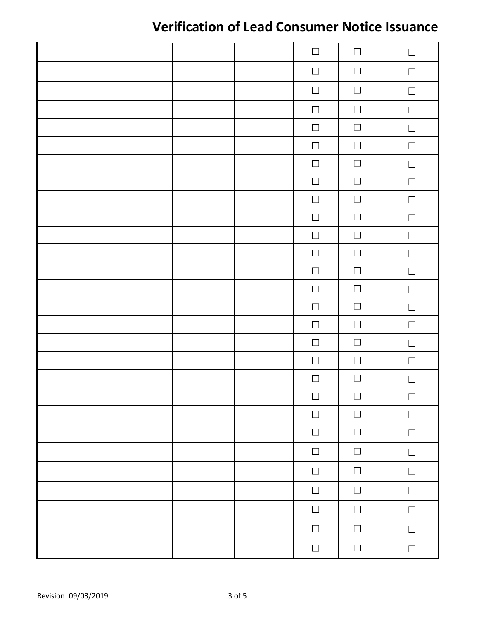|  |  | $\Box$           | $\Box$           | $\Box$           |
|--|--|------------------|------------------|------------------|
|  |  | $\Box$           | $\Box$           | $\Box$           |
|  |  | $\Box$           | $\Box$           | $\Box$           |
|  |  | $\Box$           | $\Box$           | $\Box$           |
|  |  | $\Box$           | $\Box$           | $\Box$           |
|  |  | $\Box$           | $\hfill \square$ | $\Box$           |
|  |  | $\hfill \square$ | $\Box$           | $\Box$           |
|  |  | $\hfill \square$ | $\Box$           | $\hfill \square$ |
|  |  | $\Box$           | $\Box$           | $\Box$           |
|  |  | $\Box$           | $\Box$           | $\Box$           |
|  |  | $\Box$           | $\Box$           | $\Box$           |
|  |  | $\Box$           | $\Box$           | $\Box$           |
|  |  | $\Box$           | $\hfill \square$ | $\Box$           |
|  |  | $\Box$           | $\Box$           | $\Box$           |
|  |  | $\Box$           | $\Box$           | $\Box$           |
|  |  | $\Box$           | $\Box$           | $\Box$           |
|  |  | $\Box$           | $\Box$           | $\Box$           |
|  |  | $\Box$           | $\Box$           | $\Box$           |
|  |  | $\Box$           | $\Box$           | $\Box$           |
|  |  | $\Box$           | $\Box$           | $\Box$           |
|  |  | $\Box$           | $\Box$           | $\Box$           |
|  |  | $\Box$           | $\Box$           | $\Box$           |
|  |  | $\Box$           | $\Box$           | $\Box$           |
|  |  | $\Box$           | $\Box$           | $\Box$           |
|  |  | $\Box$           | $\Box$           | $\Box$           |
|  |  | $\Box$           | $\Box$           | $\Box$           |
|  |  | $\Box$           | $\Box$           | $\Box$           |
|  |  | $\Box$           | $\Box$           | $\Box$           |
|  |  |                  |                  |                  |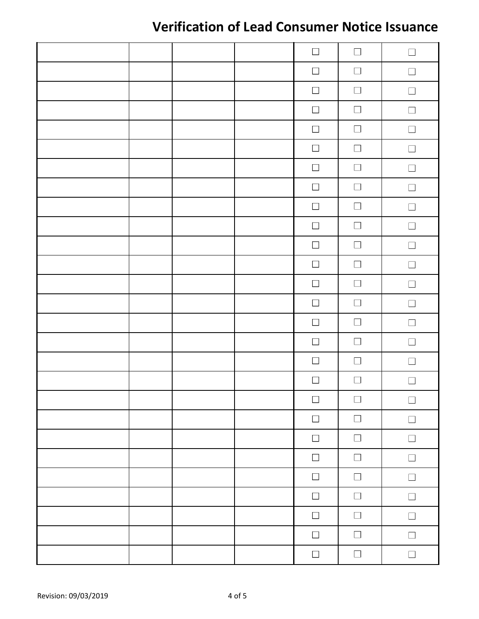|  |  | $\Box$           | $\Box$           | $\Box$ |
|--|--|------------------|------------------|--------|
|  |  | $\Box$           | $\Box$           | $\Box$ |
|  |  | $\Box$           | $\Box$           | $\Box$ |
|  |  | $\Box$           | $\Box$           | $\Box$ |
|  |  | $\Box$           | $\Box$           | $\Box$ |
|  |  | $\Box$           | $\Box$           | $\Box$ |
|  |  | $\Box$           | $\Box$           | $\Box$ |
|  |  | $\Box$           | $\hfill \square$ | $\Box$ |
|  |  | $\hfill \square$ | $\Box$           | $\Box$ |
|  |  | $\Box$           | $\Box$           | $\Box$ |
|  |  | $\Box$           | $\Box$           | $\Box$ |
|  |  | $\Box$           | $\Box$           | $\Box$ |
|  |  | $\Box$           | $\Box$           | $\Box$ |
|  |  | $\Box$           | $\Box$           | $\Box$ |
|  |  | $\Box$           | $\Box$           | $\Box$ |
|  |  | $\Box$           | $\Box$           | $\Box$ |
|  |  | $\Box$           | $\Box$           | $\Box$ |
|  |  | $\Box$           | $\Box$           | $\Box$ |
|  |  | $\hfill \square$ | $\Box$           | $\Box$ |
|  |  | $\Box$           | $\Box$           | $\Box$ |
|  |  | $\Box$           | $\Box$           | $\Box$ |
|  |  | $\Box$           | $\Box$           | $\Box$ |
|  |  | $\Box$           | $\hfill \square$ | $\Box$ |
|  |  | $\Box$           | $\Box$           | $\Box$ |
|  |  | $\Box$           | $\Box$           | $\Box$ |
|  |  | $\Box$           | $\Box$           | $\Box$ |
|  |  | $\Box$           | $\Box$           | $\Box$ |